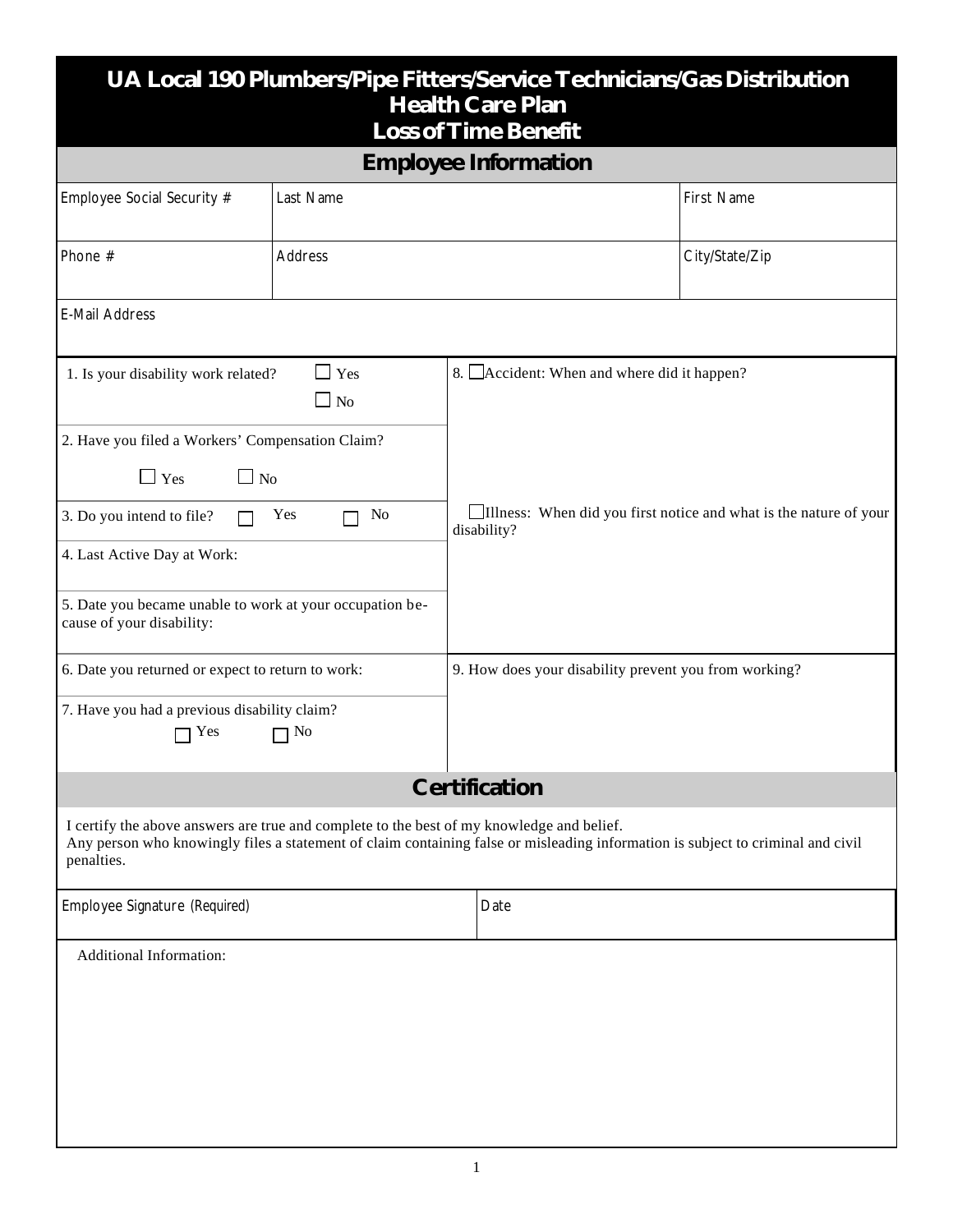| UA Local 190 Plumbers/Pipe Fitters/Service Technicians/Gas Distribution<br><b>Health Care Plan</b><br><b>Loss of Time Benefit</b>                                                                                                          |           |  |                                                                                  |                |  |  |
|--------------------------------------------------------------------------------------------------------------------------------------------------------------------------------------------------------------------------------------------|-----------|--|----------------------------------------------------------------------------------|----------------|--|--|
| <b>Employee Information</b>                                                                                                                                                                                                                |           |  |                                                                                  |                |  |  |
| Employee Social Security #                                                                                                                                                                                                                 | Last Name |  |                                                                                  | First Name     |  |  |
| Phone #                                                                                                                                                                                                                                    | Address   |  |                                                                                  | City/State/Zip |  |  |
| E-Mail Address                                                                                                                                                                                                                             |           |  |                                                                                  |                |  |  |
| Yes<br>1. Is your disability work related?<br>$\Box$ No                                                                                                                                                                                    |           |  | 8. Accident: When and where did it happen?                                       |                |  |  |
| 2. Have you filed a Workers' Compensation Claim?<br>$\Box$ No<br>$\mathbf{I}$ Yes                                                                                                                                                          |           |  |                                                                                  |                |  |  |
| No<br>Yes<br>3. Do you intend to file?<br>4. Last Active Day at Work:                                                                                                                                                                      |           |  | Illness: When did you first notice and what is the nature of your<br>disability? |                |  |  |
| 5. Date you became unable to work at your occupation be-<br>cause of your disability:                                                                                                                                                      |           |  |                                                                                  |                |  |  |
| 6. Date you returned or expect to return to work:<br>7. Have you had a previous disability claim?<br>No<br>Yes                                                                                                                             |           |  | 9. How does your disability prevent you from working?                            |                |  |  |
| <b>Certification</b>                                                                                                                                                                                                                       |           |  |                                                                                  |                |  |  |
| I certify the above answers are true and complete to the best of my knowledge and belief.<br>Any person who knowingly files a statement of claim containing false or misleading information is subject to criminal and civil<br>penalties. |           |  |                                                                                  |                |  |  |
| Employee Signature (Required)                                                                                                                                                                                                              |           |  | Date                                                                             |                |  |  |
| <b>Additional Information:</b>                                                                                                                                                                                                             |           |  |                                                                                  |                |  |  |